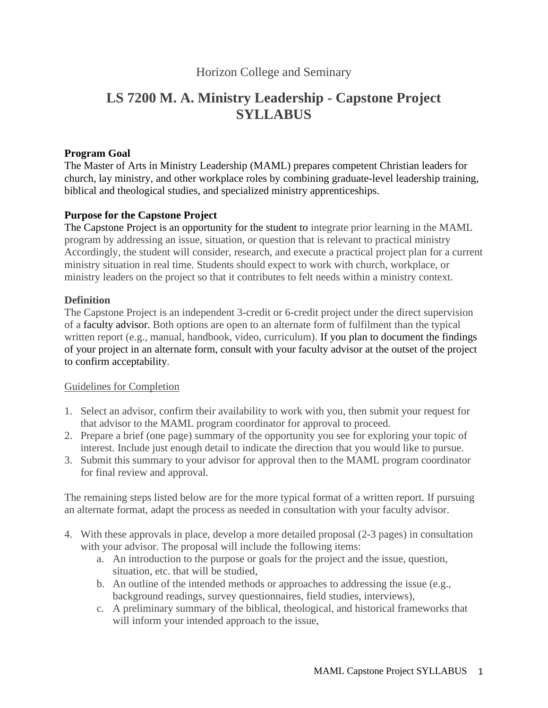# Horizon College and Seminary

# **LS 7200 M. A. Ministry Leadership - Capstone Project SYLLABUS**

### **Program Goal**

The Master of Arts in Ministry Leadership (MAML) prepares competent Christian leaders for church, lay ministry, and other workplace roles by combining graduate-level leadership training, biblical and theological studies, and specialized ministry apprenticeships.

## **Purpose for the Capstone Project**

The Capstone Project is an opportunity for the student to integrate prior learning in the MAML program by addressing an issue, situation, or question that is relevant to practical ministry Accordingly, the student will consider, research, and execute a practical project plan for a current ministry situation in real time. Students should expect to work with church, workplace, or ministry leaders on the project so that it contributes to felt needs within a ministry context.

#### **Definition**

The Capstone Project is an independent 3-credit or 6-credit project under the direct supervision of a faculty advisor. Both options are open to an alternate form of fulfilment than the typical written report (e.g., manual, handbook, video, curriculum). If you plan to document the findings of your project in an alternate form, consult with your faculty advisor at the outset of the project to confirm acceptability.

#### Guidelines for Completion

- 1. Select an advisor, confirm their availability to work with you, then submit your request for that advisor to the MAML program coordinator for approval to proceed.
- 2. Prepare a brief (one page) summary of the opportunity you see for exploring your topic of interest. Include just enough detail to indicate the direction that you would like to pursue.
- 3. Submit this summary to your advisor for approval then to the MAML program coordinator for final review and approval.

The remaining steps listed below are for the more typical format of a written report. If pursuing an alternate format, adapt the process as needed in consultation with your faculty advisor.

- 4. With these approvals in place, develop a more detailed proposal (2-3 pages) in consultation with your advisor. The proposal will include the following items:
	- a. An introduction to the purpose or goals for the project and the issue, question, situation, etc. that will be studied,
	- b. An outline of the intended methods or approaches to addressing the issue (e.g., background readings, survey questionnaires, field studies, interviews),
	- c. A preliminary summary of the biblical, theological, and historical frameworks that will inform your intended approach to the issue,